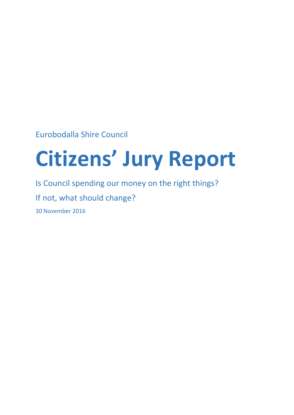Eurobodalla Shire Council

# **Citizens' Jury Report**

Is Council spending our money on the right things? If not, what should change? 30 November 2016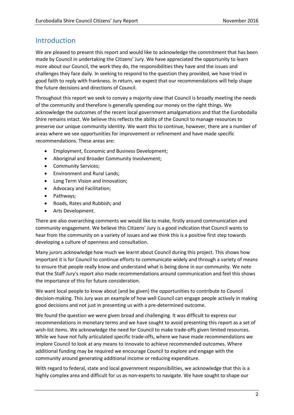## Introduction

We are pleased to present this report and would like to acknowledge the commitment that has been made by Council in undertaking the Citizens' Jury. We have appreciated the opportunity to learn more about our Council, the work they do, the responsibilities they have and the issues and challenges they face daily. In seeking to respond to the question they provided, we have tried in good faith to reply with frankness. In return, we expect that our recommendations will help shape the future decisions and directions of Council.

Throughout this report we seek to convey a majority view that Council is broadly meeting the needs of the community and therefore is generally spending our money on the right things. We acknowledge the outcomes of the recent local government amalgamations and that the Eurobodalla Shire remains intact. We believe this reflects the ability of the Council to manage resources to preserve our unique community identity. We want this to continue, however, there are a number of areas where we see opportunities for improvement or refinement and have made specific recommendations. These areas are:

- Employment, Economic and Business Development;
- Aboriginal and Broader Community Involvement;
- Community Services:
- Environment and Rural Lands;
- Long Term Vision and Innovation;
- Advocacy and Facilitation;
- Pathways;
- Roads, Rates and Rubbish; and
- Arts Development.

There are also overarching comments we would like to make, firstly around communication and community engagement. We believe this Citizens' Jury is a good indication that Council wants to hear from the community on a variety of issues and we think this is a positive first step towards developing a culture of openness and consultation.

Many jurors acknowledge how much we learnt about Council during this project. This shows how important it is for Council to continue efforts to communicate widely and through a variety of means to ensure that people really know and understand what is being done in our community. We note that the Staff Jury's report also made recommendations around communication and feel this shows the importance of this for future consideration.

We want local people to know about (and be given) the opportunities to contribute to Council decision-making. This Jury was an example of how well Council can engage people actively in making good decisions and not just in presenting us with a pre-determined outcome.

We found the question we were given broad and challenging. It was difficult to express our recommendations in monetary terms and we have sought to avoid presenting this report as a set of wish-list items. We acknowledge the need for Council to make trade-offs given limited resources. While we have not fully articulated specific trade-offs, where we have made recommendations we implore Council to look at any means to innovate to achieve recommended outcomes. Where additional funding may be required we encourage Council to explore and engage with the community around generating additional income or reducing expenditure.

With regard to federal, state and local government responsibilities, we acknowledge that this is a highly complex area and difficult for us as non-experts to navigate. We have sought to shape our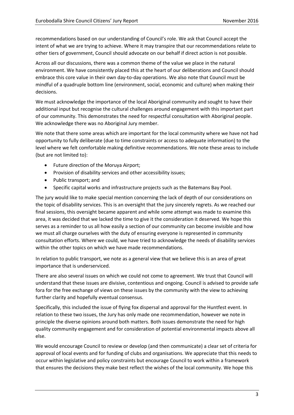recommendations based on our understanding of Council's role. We ask that Council accept the intent of what we are trying to achieve. Where it may transpire that our recommendations relate to other tiers of government, Council should advocate on our behalf if direct action is not possible.

Across all our discussions, there was a common theme of the value we place in the natural environment. We have consistently placed this at the heart of our deliberations and Council should embrace this core value in their own day-to-day operations. We also note that Council must be mindful of a quadruple bottom line (environment, social, economic and culture) when making their decisions.

We must acknowledge the importance of the local Aboriginal community and sought to have their additional input but recognise the cultural challenges around engagement with this important part of our community. This demonstrates the need for respectful consultation with Aboriginal people. We acknowledge there was no Aboriginal Jury member.

We note that there some areas which are important for the local community where we have not had opportunity to fully deliberate (due to time constraints or access to adequate information) to the level where we felt comfortable making definitive recommendations. We note these areas to include (but are not limited to):

- Future direction of the Moruya Airport;
- Provision of disability services and other accessibility issues;
- Public transport; and
- Specific capital works and infrastructure projects such as the Batemans Bay Pool.

The jury would like to make special mention concerning the lack of depth of our considerations on the topic of disability services. This is an oversight that the jury sincerely regrets. As we reached our final sessions, this oversight became apparent and while some attempt was made to examine this area, it was decided that we lacked the time to give it the consideration it deserved. We hope this serves as a reminder to us all how easily a section of our community can become invisible and how we must all charge ourselves with the duty of ensuring everyone is represented in community consultation efforts. Where we could, we have tried to acknowledge the needs of disability services within the other topics on which we have made recommendations.

In relation to public transport, we note as a general view that we believe this is an area of great importance that is underserviced.

There are also several issues on which we could not come to agreement. We trust that Council will understand that these issues are divisive, contentious and ongoing. Council is advised to provide safe fora for the free exchange of views on these issues by the community with the view to achieving further clarity and hopefully eventual consensus.

Specifically, this included the issue of flying fox dispersal and approval for the Huntfest event. In relation to these two issues, the Jury has only made one recommendation, however we note in principle the diverse opinions around both matters. Both issues demonstrate the need for high quality community engagement and for consideration of potential environmental impacts above all else.

We would encourage Council to review or develop (and then communicate) a clear set of criteria for approval of local events and for funding of clubs and organisations. We appreciate that this needs to occur within legislative and policy constraints but encourage Council to work within a framework that ensures the decisions they make best reflect the wishes of the local community. We hope this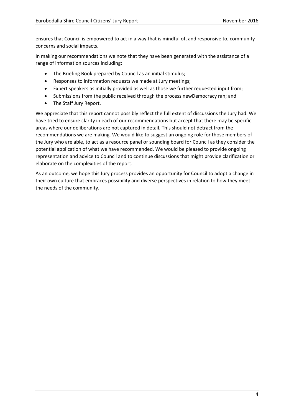ensures that Council is empowered to act in a way that is mindful of, and responsive to, community concerns and social impacts.

In making our recommendations we note that they have been generated with the assistance of a range of information sources including:

- The Briefing Book prepared by Council as an initial stimulus;
- Responses to information requests we made at Jury meetings;
- Expert speakers as initially provided as well as those we further requested input from;
- Submissions from the public received through the process newDemocracy ran; and
- The Staff Jury Report.

We appreciate that this report cannot possibly reflect the full extent of discussions the Jury had. We have tried to ensure clarity in each of our recommendations but accept that there may be specific areas where our deliberations are not captured in detail. This should not detract from the recommendations we are making. We would like to suggest an ongoing role for those members of the Jury who are able, to act as a resource panel or sounding board for Council as they consider the potential application of what we have recommended. We would be pleased to provide ongoing representation and advice to Council and to continue discussions that might provide clarification or elaborate on the complexities of the report.

As an outcome, we hope this Jury process provides an opportunity for Council to adopt a change in their own culture that embraces possibility and diverse perspectives in relation to how they meet the needs of the community.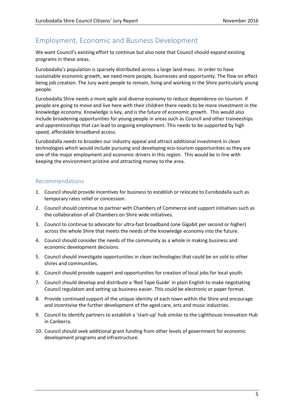# Employment, Economic and Business Development

We want Council's existing effort to continue but also note that Council should expand existing programs in these areas.

Eurobodalla's population is sparsely distributed across a large land mass. In order to have sustainable economic growth, we need more people, businesses and opportunity. The flow on effect being job creation. The Jury want people to remain, living and working in the Shire particularly young people.

Eurobodalla Shire needs a more agile and diverse economy to reduce dependence on tourism. If people are going to move and live here with their children there needs to be more investment in the knowledge economy. Knowledge is key, and is the future of economic growth. This would also include broadening opportunities for young people in areas such as Council and other traineeships and apprenticeships that can lead to ongoing employment. This needs to be supported by high speed, affordable broadband access.

Eurobodalla needs to broaden our industry appeal and attract additional investment in clean technologies which would include pursuing and developing eco-tourism opportunities as they are one of the major employment and economic drivers in this region. This would be in line with keeping the environment pristine and attracting money to the area.

- 1. Council should provide incentives for business to establish or relocate to Eurobodalla such as temporary rates relief or concession.
- 2. Council should continue to partner with Chambers of Commerce and support initiatives such as the collaboration of all Chambers on Shire wide initiatives.
- 3. Council to continue to advocate for ultra-fast broadband (one Gigabit per second or higher) across the whole Shire that meets the needs of the knowledge economy into the future.
- 4. Council should consider the needs of the community as a whole in making business and economic development decisions.
- 5. Council should investigate opportunities in clean technologies that could be on sold to other shires and communities.
- 6. Council should provide support and opportunities for creation of local jobs for local youth.
- 7. Council should develop and distribute a 'Red Tape Guide' in plain English to make negotiating Council regulation and setting up business easier. This could be electronic or paper format.
- 8. Provide continued support of the unique identity of each town within the Shire and encourage and incentivise the further development of the aged care, arts and music industries.
- 9. Council to identify partners to establish a 'start-up' hub similar to the Lighthouse Innovation Hub in Canberra.
- 10. Council should seek additional grant funding from other levels of government for economic development programs and infrastructure.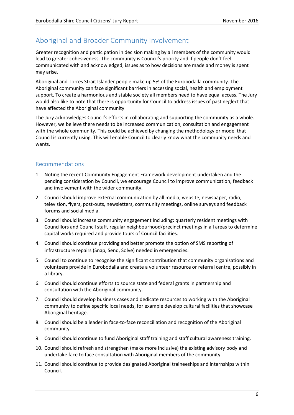# Aboriginal and Broader Community Involvement

Greater recognition and participation in decision making by all members of the community would lead to greater cohesiveness. The community is Council's priority and if people don't feel communicated with and acknowledged, issues as to how decisions are made and money is spent may arise.

Aboriginal and Torres Strait Islander people make up 5% of the Eurobodalla community. The Aboriginal community can face significant barriers in accessing social, health and employment support. To create a harmonious and stable society all members need to have equal access. The Jury would also like to note that there is opportunity for Council to address issues of past neglect that have affected the Aboriginal community.

The Jury acknowledges Council's efforts in collaborating and supporting the community as a whole. However, we believe there needs to be increased communication, consultation and engagement with the whole community. This could be achieved by changing the methodology or model that Council is currently using. This will enable Council to clearly know what the community needs and wants.

- 1. Noting the recent Community Engagement Framework development undertaken and the pending consideration by Council, we encourage Council to improve communication, feedback and involvement with the wider community.
- 2. Council should improve external communication by all media, website, newspaper, radio, television, flyers, post-outs, newsletters, community meetings, online surveys and feedback forums and social media.
- 3. Council should increase community engagement including: quarterly resident meetings with Councillors and Council staff, regular neighbourhood/precinct meetings in all areas to determine capital works required and provide tours of Council facilities.
- 4. Council should continue providing and better promote the option of SMS reporting of infrastructure repairs (Snap, Send, Solve) needed in emergencies.
- 5. Council to continue to recognise the significant contribution that community organisations and volunteers provide in Eurobodalla and create a volunteer resource or referral centre, possibly in a library.
- 6. Council should continue efforts to source state and federal grants in partnership and consultation with the Aboriginal community.
- 7. Council should develop business cases and dedicate resources to working with the Aboriginal community to define specific local needs, for example develop cultural facilities that showcase Aboriginal heritage.
- 8. Council should be a leader in face-to-face reconciliation and recognition of the Aboriginal community.
- 9. Council should continue to fund Aboriginal staff training and staff cultural awareness training.
- 10. Council should refresh and strengthen (make more inclusive) the existing advisory body and undertake face to face consultation with Aboriginal members of the community.
- 11. Council should continue to provide designated Aboriginal traineeships and internships within Council.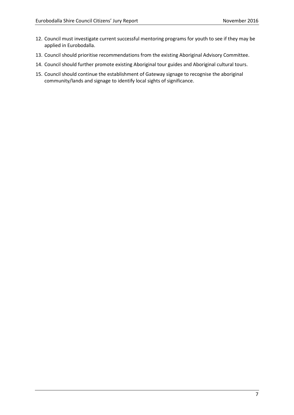- 12. Council must investigate current successful mentoring programs for youth to see if they may be applied in Eurobodalla.
- 13. Council should prioritise recommendations from the existing Aboriginal Advisory Committee.
- 14. Council should further promote existing Aboriginal tour guides and Aboriginal cultural tours.
- 15. Council should continue the establishment of Gateway signage to recognise the aboriginal community/lands and signage to identify local sights of significance.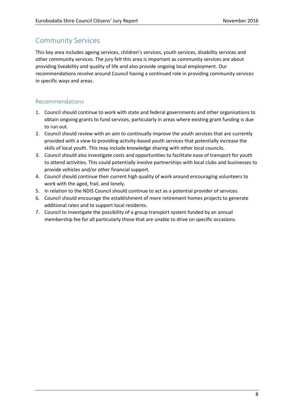## Community Services

This key area includes ageing services, children's services, youth services, disability services and other community services. The jury felt this area is important as community services are about providing liveability and quality of life and also provide ongoing local employment. Our recommendations revolve around Council having a continued role in providing community services in specific ways and areas.

- 1. Council should continue to work with state and federal governments and other organisations to obtain ongoing grants to fund services, particularly in areas where existing grant funding is due to run out.
- 2. Council should review with an aim to continually improve the youth services that are currently provided with a view to providing activity-based youth services that potentially increase the skills of local youth. This may include knowledge sharing with other local councils.
- 3. Council should also investigate costs and opportunities to facilitate ease of transport for youth to attend activities. This could potentially involve partnerships with local clubs and businesses to provide vehicles and/or other financial support.
- 4. Council should continue their current high quality of work around encouraging volunteers to work with the aged, frail, and lonely.
- 5. In relation to the NDIS Council should continue to act as a potential provider of services.
- 6. Council should encourage the establishment of more retirement homes projects to generate additional rates and to support local residents.
- 7. Council to investigate the possibility of a group transport system funded by an annual membership fee for all particularly those that are unable to drive on specific occasions.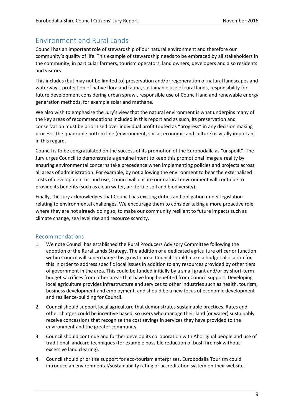# Environment and Rural Lands

Council has an important role of stewardship of our natural environment and therefore our community's quality of life. This example of stewardship needs to be embraced by all stakeholders in the community, in particular farmers, tourism operators, land owners, developers and also residents and visitors.

This includes (but may not be limited to) preservation and/or regeneration of natural landscapes and waterways, protection of native flora and fauna, sustainable use of rural lands, responsibility for future development considering urban sprawl, responsible use of Council land and renewable energy generation methods, for example solar and methane.

We also wish to emphasise the Jury's view that the natural environment is what underpins many of the key areas of recommendations included in this report and as such, its preservation and conservation must be prioritised over individual profit touted as "progress" in any decision making process. The quadruple bottom line (environment, social, economic and culture) is vitally important in this regard.

Council is to be congratulated on the success of its promotion of the Eurobodalla as "unspoilt". The Jury urges Council to demonstrate a genuine intent to keep this promotional image a reality by ensuring environmental concerns take precedence when implementing policies and projects across all areas of administration. For example, by not allowing the environment to bear the externalised costs of development or land use, Council will ensure our natural environment will continue to provide its benefits (such as clean water, air, fertile soil and biodiversity).

Finally, the Jury acknowledges that Council has existing duties and obligation under legislation relating to environmental challenges. We encourage them to consider taking a more proactive role, where they are not already doing so, to make our community resilient to future impacts such as climate change, sea level rise and resource scarcity.

- 1. We note Council has established the Rural Producers Advisory Committee following the adoption of the Rural Lands Strategy. The addition of a dedicated agriculture officer or function within Council will supercharge this growth area. Council should make a budget allocation for this in order to address specific local issues in addition to any resources provided by other tiers of government in the area. This could be funded initially by a small grant and/or by short-term budget sacrifices from other areas that have long benefited from Council support. Developing local agriculture provides infrastructure and services to other industries such as health, tourism, business development and employment, and should be a new focus of economic development and resilience-building for Council.
- 2. Council should support local agriculture that demonstrates sustainable practices. Rates and other charges could be incentive based, so users who manage their land (or water) sustainably receive concessions that recognise the cost savings in services they have provided to the environment and the greater community.
- 3. Council should continue and further develop its collaboration with Aboriginal people and use of traditional landcare techniques (for example possible reduction of bush fire risk without excessive land clearing).
- 4. Council should prioritise support for eco-tourism enterprises. Eurobodalla Tourism could introduce an environmental/sustainability rating or accreditation system on their website.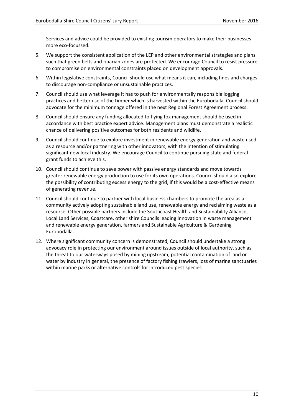Services and advice could be provided to existing tourism operators to make their businesses more eco-focussed.

- 5. We support the consistent application of the LEP and other environmental strategies and plans such that green belts and riparian zones are protected. We encourage Council to resist pressure to compromise on environmental constraints placed on development approvals.
- 6. Within legislative constraints, Council should use what means it can, including fines and charges to discourage non-compliance or unsustainable practices.
- 7. Council should use what leverage it has to push for environmentally responsible logging practices and better use of the timber which is harvested within the Eurobodalla. Council should advocate for the minimum tonnage offered in the next Regional Forest Agreement process.
- 8. Council should ensure any funding allocated to flying fox management should be used in accordance with best practice expert advice. Management plans must demonstrate a realistic chance of delivering positive outcomes for both residents and wildlife.
- 9. Council should continue to explore investment in renewable energy generation and waste used as a resource and/or partnering with other innovators, with the intention of stimulating significant new local industry. We encourage Council to continue pursuing state and federal grant funds to achieve this.
- 10. Council should continue to save power with passive energy standards and move towards greater renewable energy production to use for its own operations. Council should also explore the possibility of contributing excess energy to the grid, if this would be a cost-effective means of generating revenue.
- 11. Council should continue to partner with local business chambers to promote the area as a community actively adopting sustainable land use, renewable energy and reclaiming waste as a resource. Other possible partners include the Southcoast Health and Sustainability Alliance, Local Land Services, Coastcare, other shire Councils leading innovation in waste management and renewable energy generation, farmers and Sustainable Agriculture & Gardening Eurobodalla.
- 12. Where significant community concern is demonstrated, Council should undertake a strong advocacy role in protecting our environment around issues outside of local authority, such as the threat to our waterways posed by mining upstream, potential contamination of land or water by industry in general, the presence of factory fishing trawlers, loss of marine sanctuaries within marine parks or alternative controls for introduced pest species.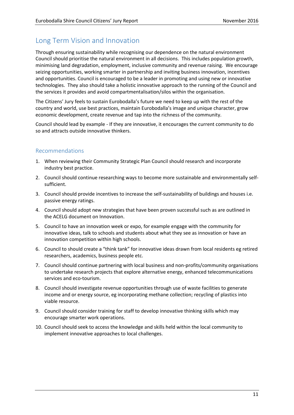# Long Term Vision and Innovation

Through ensuring sustainability while recognising our dependence on the natural environment Council should prioritise the natural environment in all decisions. This includes population growth, minimising land degradation, employment, inclusive community and revenue raising. We encourage seizing opportunities, working smarter in partnership and inviting business innovation, incentives and opportunities. Council is encouraged to be a leader in promoting and using new or innovative technologies. They also should take a holistic innovative approach to the running of the Council and the services it provides and avoid compartmentalisation/silos within the organisation.

The Citizens' Jury feels to sustain Eurobodalla's future we need to keep up with the rest of the country and world, use best practices, maintain Eurobodalla's image and unique character, grow economic development, create revenue and tap into the richness of the community.

Council should lead by example - If they are innovative, it encourages the current community to do so and attracts outside innovative thinkers.

- 1. When reviewing their Community Strategic Plan Council should research and incorporate industry best practice.
- 2. Council should continue researching ways to become more sustainable and environmentally selfsufficient.
- 3. Council should provide incentives to increase the self-sustainability of buildings and houses i.e. passive energy ratings.
- 4. Council should adopt new strategies that have been proven successful such as are outlined in the ACELG document on Innovation.
- 5. Council to have an innovation week or expo, for example engage with the community for innovative ideas, talk to schools and students about what they see as innovation or have an innovation competition within high schools.
- 6. Council to should create a "think tank" for innovative ideas drawn from local residents eg retired researchers, academics, business people etc.
- 7. Council should continue partnering with local business and non-profits/community organisations to undertake research projects that explore alternative energy, enhanced telecommunications services and eco-tourism.
- 8. Council should investigate revenue opportunities through use of waste facilities to generate income and or energy source, eg incorporating methane collection; recycling of plastics into viable resource.
- 9. Council should consider training for staff to develop innovative thinking skills which may encourage smarter work operations.
- 10. Council should seek to access the knowledge and skills held within the local community to implement innovative approaches to local challenges.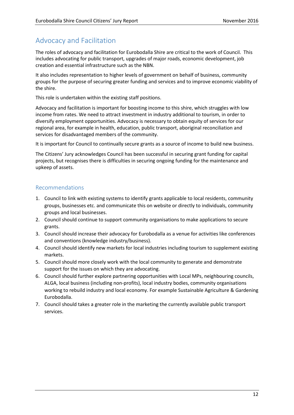# Advocacy and Facilitation

The roles of advocacy and facilitation for Eurobodalla Shire are critical to the work of Council. This includes advocating for public transport, upgrades of major roads, economic development, job creation and essential infrastructure such as the NBN.

It also includes representation to higher levels of government on behalf of business, community groups for the purpose of securing greater funding and services and to improve economic viability of the shire.

This role is undertaken within the existing staff positions.

Advocacy and facilitation is important for boosting income to this shire, which struggles with low income from rates. We need to attract investment in industry additional to tourism, in order to diversify employment opportunities. Advocacy is necessary to obtain equity of services for our regional area, for example in health, education, public transport, aboriginal reconciliation and services for disadvantaged members of the community.

It is important for Council to continually secure grants as a source of income to build new business.

The Citizens' Jury acknowledges Council has been successful in securing grant funding for capital projects, but recognises there is difficulties in securing ongoing funding for the maintenance and upkeep of assets.

- 1. Council to link with existing systems to identify grants applicable to local residents, community groups, businesses etc. and communicate this on website or directly to individuals, community groups and local businesses.
- 2. Council should continue to support community organisations to make applications to secure grants.
- 3. Council should increase their advocacy for Eurobodalla as a venue for activities like conferences and conventions (knowledge industry/business).
- 4. Council should identify new markets for local industries including tourism to supplement existing markets.
- 5. Council should more closely work with the local community to generate and demonstrate support for the issues on which they are advocating.
- 6. Council should further explore partnering opportunities with Local MPs, neighbouring councils, ALGA, local business (including non-profits), local industry bodies, community organisations working to rebuild industry and local economy. For example Sustainable Agriculture & Gardening Eurobodalla.
- 7. Council should takes a greater role in the marketing the currently available public transport services.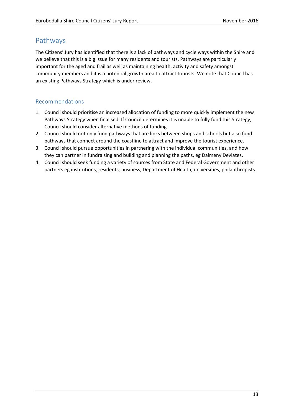## Pathways

The Citizens' Jury has identified that there is a lack of pathways and cycle ways within the Shire and we believe that this is a big issue for many residents and tourists. Pathways are particularly important for the aged and frail as well as maintaining health, activity and safety amongst community members and it is a potential growth area to attract tourists. We note that Council has an existing Pathways Strategy which is under review.

- 1. Council should prioritise an increased allocation of funding to more quickly implement the new Pathways Strategy when finalised. If Council determines it is unable to fully fund this Strategy, Council should consider alternative methods of funding.
- 2. Council should not only fund pathways that are links between shops and schools but also fund pathways that connect around the coastline to attract and improve the tourist experience.
- 3. Council should pursue opportunities in partnering with the individual communities, and how they can partner in fundraising and building and planning the paths, eg Dalmeny Deviates.
- 4. Council should seek funding a variety of sources from State and Federal Government and other partners eg institutions, residents, business, Department of Health, universities, philanthropists.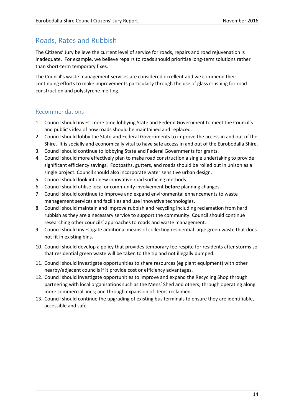## Roads, Rates and Rubbish

The Citizens' Jury believe the current level of service for roads, repairs and road rejuvenation is inadequate. For example, we believe repairs to roads should prioritise long-term solutions rather than short-term temporary fixes.

The Council's waste management services are considered excellent and we commend their continuing efforts to make improvements particularly through the use of glass crushing for road construction and polystyrene melting.

- 1. Council should invest more time lobbying State and Federal Government to meet the Council's and public's idea of how roads should be maintained and replaced.
- 2. Council should lobby the State and Federal Governments to improve the access in and out of the Shire. It is socially and economically vital to have safe access in and out of the Eurobodalla Shire.
- 3. Council should continue to lobbying State and Federal Governments for grants.
- 4. Council should more effectively plan to make road construction a single undertaking to provide significant efficiency savings. Footpaths, gutters, and roads should be rolled out in unison as a single project. Council should also incorporate water sensitive urban design.
- 5. Council should look into new innovative road surfacing methods
- 6. Council should utilise local or community involvement **before** planning changes.
- 7. Council should continue to improve and expand environmental enhancements to waste management services and facilities and use innovative technologies.
- 8. Council should maintain and improve rubbish and recycling including reclamation from hard rubbish as they are a necessary service to support the community. Council should continue researching other councils' approaches to roads and waste management.
- 9. Council should investigate additional means of collecting residential large green waste that does not fit in existing bins.
- 10. Council should develop a policy that provides temporary fee respite for residents after storms so that residential green waste will be taken to the tip and not illegally dumped.
- 11. Council should investigate opportunities to share resources (eg plant equipment) with other nearby/adjacent councils if it provide cost or efficiency advantages.
- 12. Council should investigate opportunities to improve and expand the Recycling Shop through partnering with local organisations such as the Mens' Shed and others; through operating along more commercial lines; and through expansion of items reclaimed.
- 13. Council should continue the upgrading of existing bus terminals to ensure they are identifiable, accessible and safe.